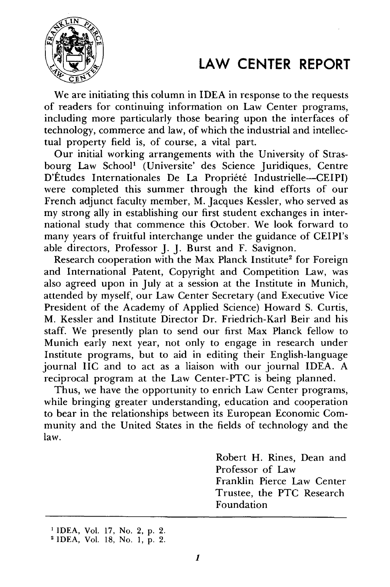## LAW **CENTER** REPORT



We are initiating this column in IDEA in response to the requests of readers for continuing information on Law Center programs, including more particularly those bearing upon the interfaces of technology, commerce and law, of which the industrial and intellectual property field is, of course, a vital part.

Our initial working arrangements with the University of Strasbourg Law School<sup>1</sup> (Universite' des Science Juridiques, Centre D'Études Internationales De La Propriété Industrielle-CEIPI) were completed this summer through the kind efforts of our French adjunct faculty member, M. Jacques Kessler, who served as my strong ally in establishing our first student exchanges in international study that commence this October. We look forward to many years of fruitful interchange under the guidance of CEIPI's able directors, Professor J. J. Burst and F. Savignon.

Research cooperation with the Max Planck Institute<sup>2</sup> for Foreign and International Patent, Copyright and Competition Law, was also agreed upon in July at a session at the Institute in Munich, attended by myself, our Law Center Secretary (and Executive Vice President of the Academy of Applied Science) Howard S. Curtis, M. Kessler and Institute Director Dr. Friedrich-Karl Beir and his staff. We presently plan to send our first Max Planck fellow to Munich early next year, not only to engage in research under Institute programs, but to aid in editing their English-language journal IIC and to act as a liaison with our journal IDEA. A reciprocal program at the Law Center-PTC is being planned.

Thus, we have the opportunity to enrich Law Center programs, while bringing greater understanding, education and cooperation to bear in the relationships between its European Economic Community and the United States in the fields of technology and the law.

> Robert H. Rines, Dean and Professor of Law Franklin Pierce Law Center Trustee, the PTC Research Foundation

<sup>1</sup> IDEA, Vol. 17, No. 2, p. 2.

<sup>2</sup> IDEA, Vol. 18, No. 1, p. 2.